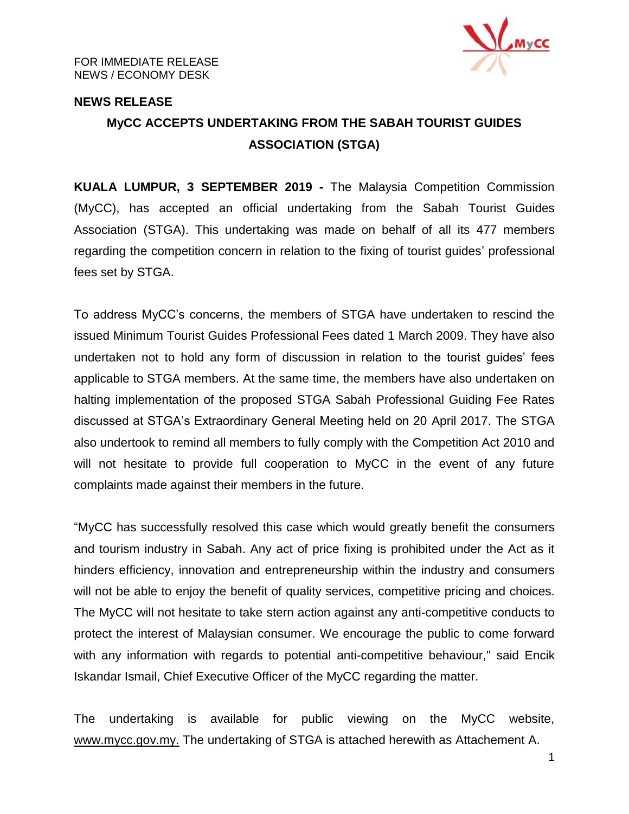

### **NEWS RELEASE**

# **MyCC ACCEPTS UNDERTAKING FROM THE SABAH TOURIST GUIDES ASSOCIATION (STGA)**

**KUALA LUMPUR, 3 SEPTEMBER 2019 -** The Malaysia Competition Commission (MyCC), has accepted an official undertaking from the Sabah Tourist Guides Association (STGA). This undertaking was made on behalf of all its 477 members regarding the competition concern in relation to the fixing of tourist guides' professional fees set by STGA.

To address MyCC's concerns, the members of STGA have undertaken to rescind the issued Minimum Tourist Guides Professional Fees dated 1 March 2009. They have also undertaken not to hold any form of discussion in relation to the tourist guides' fees applicable to STGA members. At the same time, the members have also undertaken on halting implementation of the proposed STGA Sabah Professional Guiding Fee Rates discussed at STGA's Extraordinary General Meeting held on 20 April 2017. The STGA also undertook to remind all members to fully comply with the Competition Act 2010 and will not hesitate to provide full cooperation to MyCC in the event of any future complaints made against their members in the future.

"MyCC has successfully resolved this case which would greatly benefit the consumers and tourism industry in Sabah. Any act of price fixing is prohibited under the Act as it hinders efficiency, innovation and entrepreneurship within the industry and consumers will not be able to enjoy the benefit of quality services, competitive pricing and choices. The MyCC will not hesitate to take stern action against any anti-competitive conducts to protect the interest of Malaysian consumer. We encourage the public to come forward with any information with regards to potential anti-competitive behaviour," said Encik Iskandar Ismail, Chief Executive Officer of the MyCC regarding the matter.

The undertaking is available for public viewing on the MyCC website, [www.mycc.gov.my.](http://www.mycc.gov.my/) The undertaking of STGA is attached herewith as Attachement A.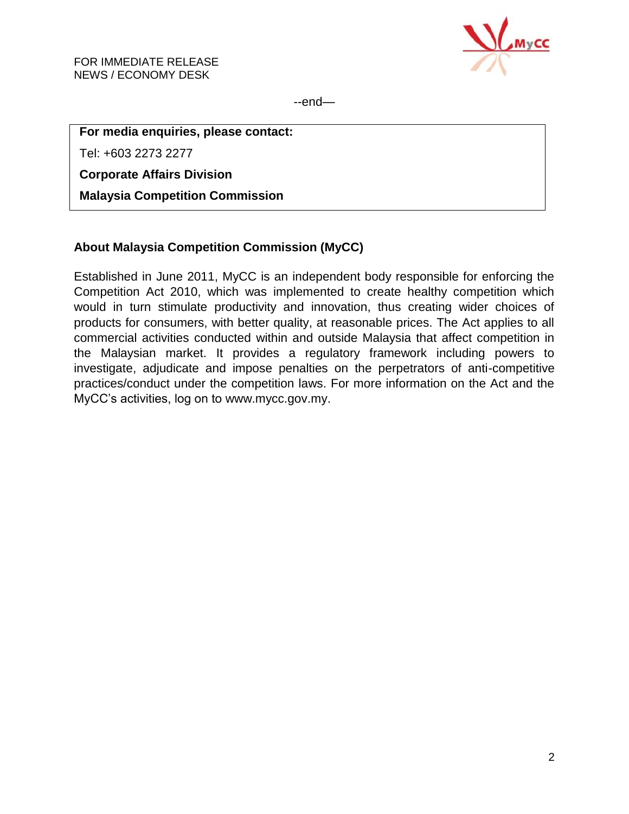

--end—

## **For media enquiries, please contact:**

Tel: +603 2273 2277

**Corporate Affairs Division**

**Malaysia Competition Commission**

## **About Malaysia Competition Commission (MyCC)**

Established in June 2011, MyCC is an independent body responsible for enforcing the Competition Act 2010, which was implemented to create healthy competition which would in turn stimulate productivity and innovation, thus creating wider choices of products for consumers, with better quality, at reasonable prices. The Act applies to all commercial activities conducted within and outside Malaysia that affect competition in the Malaysian market. It provides a regulatory framework including powers to investigate, adjudicate and impose penalties on the perpetrators of anti-competitive practices/conduct under the competition laws. For more information on the Act and the MyCC's activities, log on to [www.mycc.gov.my.](http://www.mycc.gov.my/)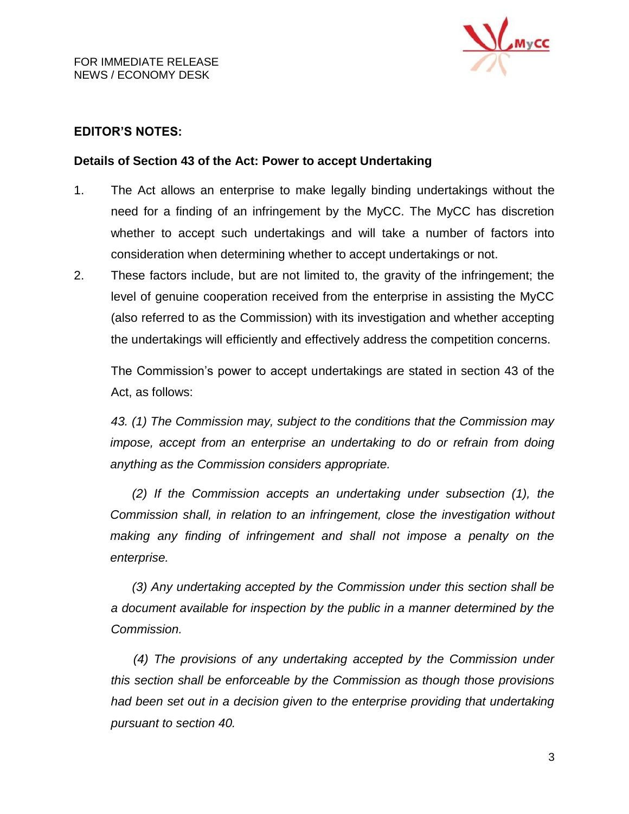

## **EDITOR'S NOTES:**

### **Details of Section 43 of the Act: Power to accept Undertaking**

- 1. The Act allows an enterprise to make legally binding undertakings without the need for a finding of an infringement by the MyCC. The MyCC has discretion whether to accept such undertakings and will take a number of factors into consideration when determining whether to accept undertakings or not.
- 2. These factors include, but are not limited to, the gravity of the infringement; the level of genuine cooperation received from the enterprise in assisting the MyCC (also referred to as the Commission) with its investigation and whether accepting the undertakings will efficiently and effectively address the competition concerns.

The Commission's power to accept undertakings are stated in section 43 of the Act, as follows:

*43. (1) The Commission may, subject to the conditions that the Commission may impose, accept from an enterprise an undertaking to do or refrain from doing anything as the Commission considers appropriate.*

*(2) If the Commission accepts an undertaking under subsection (1), the Commission shall, in relation to an infringement, close the investigation without making any finding of infringement and shall not impose a penalty on the enterprise.*

*(3) Any undertaking accepted by the Commission under this section shall be a document available for inspection by the public in a manner determined by the Commission.*

*(4) The provisions of any undertaking accepted by the Commission under this section shall be enforceable by the Commission as though those provisions had been set out in a decision given to the enterprise providing that undertaking pursuant to section 40.*